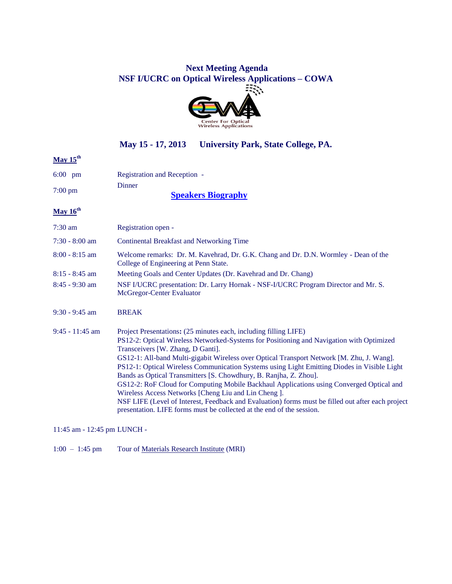# **Next Meeting Agenda NSF I/UCRC on Optical Wireless Applications – COWA**



### **May 15 - 17, 2013 University Park, State College, PA.**

# **May 15th**

| $6:00 \text{ pm}$ | <b>Registration and Reception -</b> |
|-------------------|-------------------------------------|
|                   | Dinner                              |
| $7:00 \text{ pm}$ | $C_{\text{model}}$ D:               |

**[Speakers Biography](http://www.cowa.psu.edu/Documents/Meeting_Agendas/MAY-2013_BIOGRAPHIES_PACKAGE_PSU.pdf)**

#### **May 16th**

| $7:30$ am         | Registration open -                                                                                                                                                                                                                                                                                                                                                                                                                                                                                                                                                                                                                                                                                                                                                                                 |
|-------------------|-----------------------------------------------------------------------------------------------------------------------------------------------------------------------------------------------------------------------------------------------------------------------------------------------------------------------------------------------------------------------------------------------------------------------------------------------------------------------------------------------------------------------------------------------------------------------------------------------------------------------------------------------------------------------------------------------------------------------------------------------------------------------------------------------------|
| $7:30 - 8:00$ am  | <b>Continental Breakfast and Networking Time</b>                                                                                                                                                                                                                                                                                                                                                                                                                                                                                                                                                                                                                                                                                                                                                    |
| $8:00 - 8:15$ am  | Welcome remarks: Dr. M. Kavehrad, Dr. G.K. Chang and Dr. D.N. Wormley - Dean of the<br>College of Engineering at Penn State.                                                                                                                                                                                                                                                                                                                                                                                                                                                                                                                                                                                                                                                                        |
| $8:15 - 8:45$ am  | Meeting Goals and Center Updates (Dr. Kavehrad and Dr. Chang)                                                                                                                                                                                                                                                                                                                                                                                                                                                                                                                                                                                                                                                                                                                                       |
| $8:45 - 9:30$ am  | NSF I/UCRC presentation: Dr. Larry Hornak - NSF-I/UCRC Program Director and Mr. S.<br>McGregor-Center Evaluator                                                                                                                                                                                                                                                                                                                                                                                                                                                                                                                                                                                                                                                                                     |
| $9:30 - 9:45$ am  | <b>BREAK</b>                                                                                                                                                                                                                                                                                                                                                                                                                                                                                                                                                                                                                                                                                                                                                                                        |
| $9:45 - 11:45$ am | Project Presentations: (25 minutes each, including filling LIFE)<br>PS12-2: Optical Wireless Networked-Systems for Positioning and Navigation with Optimized<br>Transceivers [W. Zhang, D Ganti].<br>GS12-1: All-band Multi-gigabit Wireless over Optical Transport Network [M. Zhu, J. Wang].<br>PS12-1: Optical Wireless Communication Systems using Light Emitting Diodes in Visible Light<br>Bands as Optical Transmitters [S. Chowdhury, B. Ranjha, Z. Zhou].<br>GS12-2: RoF Cloud for Computing Mobile Backhaul Applications using Converged Optical and<br>Wireless Access Networks [Cheng Liu and Lin Cheng].<br>NSF LIFE (Level of Interest, Feedback and Evaluation) forms must be filled out after each project<br>presentation. LIFE forms must be collected at the end of the session. |

11:45 am - 12:45 pm LUNCH -

1:00 – 1:45 pm Tour of [Materials Research Institute](http://www.mri.psu.edu/index.asp) (MRI)